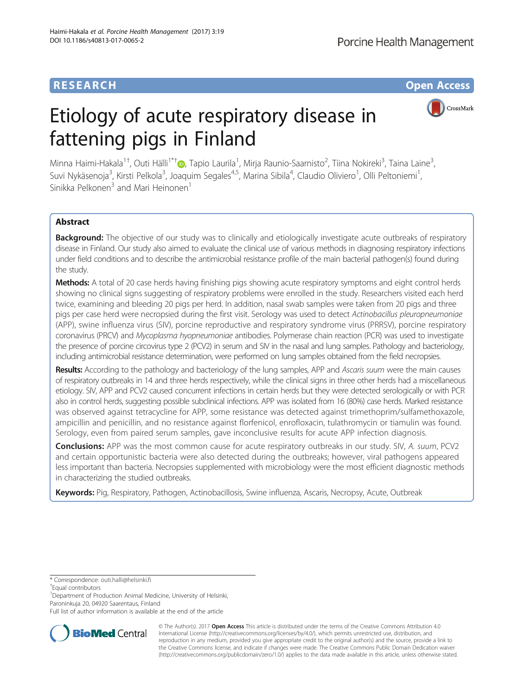# **RESEARCH CHE Open Access**

# Etiology of acute respiratory disease in fattening pigs in Finland



Minna Haimi-Hakala<sup>1†</sup>, Outi Hälli<sup>1\*†</sup>®, Tapio Laurila<sup>1</sup>, Mirja Raunio-Saarnisto<sup>2</sup>, Tiina Nokireki<sup>3</sup>, Taina Laine<sup>3</sup> , Suvi Nykäsenoja<sup>3</sup>, Kirsti Pelkola<sup>3</sup>, Joaquim Segales<sup>4,5</sup>, Marina Sibila<sup>4</sup>, Claudio Oliviero<sup>1</sup>, Olli Peltoniemi<sup>1</sup> , Sinikka Pelkonen<sup>3</sup> and Mari Heinonen<sup>1</sup>

## Abstract

**Background:** The objective of our study was to clinically and etiologically investigate acute outbreaks of respiratory disease in Finland. Our study also aimed to evaluate the clinical use of various methods in diagnosing respiratory infections under field conditions and to describe the antimicrobial resistance profile of the main bacterial pathogen(s) found during the study.

Methods: A total of 20 case herds having finishing pigs showing acute respiratory symptoms and eight control herds showing no clinical signs suggesting of respiratory problems were enrolled in the study. Researchers visited each herd twice, examining and bleeding 20 pigs per herd. In addition, nasal swab samples were taken from 20 pigs and three pigs per case herd were necropsied during the first visit. Serology was used to detect Actinobacillus pleuropneumoniae (APP), swine influenza virus (SIV), porcine reproductive and respiratory syndrome virus (PRRSV), porcine respiratory coronavirus (PRCV) and Mycoplasma hyopneumoniae antibodies. Polymerase chain reaction (PCR) was used to investigate the presence of porcine circovirus type 2 (PCV2) in serum and SIV in the nasal and lung samples. Pathology and bacteriology, including antimicrobial resistance determination, were performed on lung samples obtained from the field necropsies.

Results: According to the pathology and bacteriology of the lung samples, APP and Ascaris suum were the main causes of respiratory outbreaks in 14 and three herds respectively, while the clinical signs in three other herds had a miscellaneous etiology. SIV, APP and PCV2 caused concurrent infections in certain herds but they were detected serologically or with PCR also in control herds, suggesting possible subclinical infections. APP was isolated from 16 (80%) case herds. Marked resistance was observed against tetracycline for APP, some resistance was detected against trimethoprim/sulfamethoxazole, ampicillin and penicillin, and no resistance against florfenicol, enrofloxacin, tulathromycin or tiamulin was found. Serology, even from paired serum samples, gave inconclusive results for acute APP infection diagnosis.

Conclusions: APP was the most common cause for acute respiratory outbreaks in our study. SIV, A. suum, PCV2 and certain opportunistic bacteria were also detected during the outbreaks; however, viral pathogens appeared less important than bacteria. Necropsies supplemented with microbiology were the most efficient diagnostic methods in characterizing the studied outbreaks.

Keywords: Pig, Respiratory, Pathogen, Actinobacillosis, Swine influenza, Ascaris, Necropsy, Acute, Outbreak

\* Correspondence: [outi.halli@helsinki.fi](mailto:outi.halli@helsinki.fi) †

<sup>1</sup> Department of Production Animal Medicine, University of Helsinki, Paroninkuja 20, 04920 Saarentaus, Finland

Full list of author information is available at the end of the article



© The Author(s). 2017 **Open Access** This article is distributed under the terms of the Creative Commons Attribution 4.0 International License [\(http://creativecommons.org/licenses/by/4.0/](http://creativecommons.org/licenses/by/4.0/)), which permits unrestricted use, distribution, and reproduction in any medium, provided you give appropriate credit to the original author(s) and the source, provide a link to the Creative Commons license, and indicate if changes were made. The Creative Commons Public Domain Dedication waiver [\(http://creativecommons.org/publicdomain/zero/1.0/](http://creativecommons.org/publicdomain/zero/1.0/)) applies to the data made available in this article, unless otherwise stated.

Equal contributors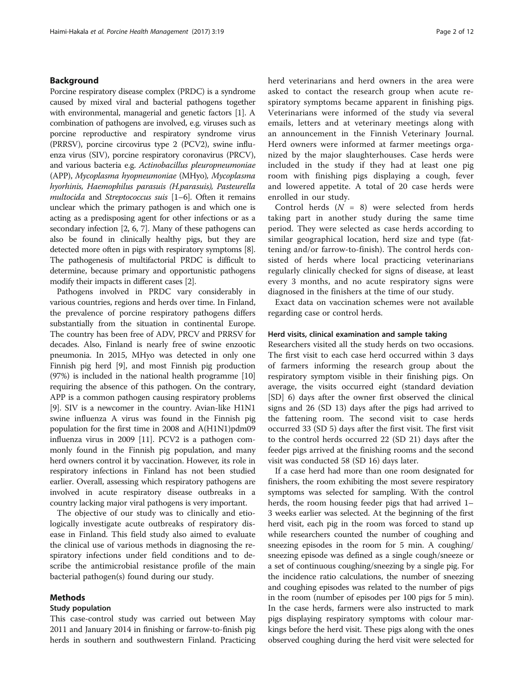#### Background

Porcine respiratory disease complex (PRDC) is a syndrome caused by mixed viral and bacterial pathogens together with environmental, managerial and genetic factors [\[1\]](#page-10-0). A combination of pathogens are involved, e.g. viruses such as porcine reproductive and respiratory syndrome virus (PRRSV), porcine circovirus type 2 (PCV2), swine influenza virus (SIV), porcine respiratory coronavirus (PRCV), and various bacteria e.g. Actinobacillus pleuropneumoniae (APP), Mycoplasma hyopneumoniae (MHyo), Mycoplasma hyorhinis, Haemophilus parasuis (H.parasuis), Pasteurella multocida and Streptococcus suis [[1](#page-10-0)-[6](#page-10-0)]. Often it remains unclear which the primary pathogen is and which one is acting as a predisposing agent for other infections or as a secondary infection [\[2](#page-10-0), [6, 7\]](#page-10-0). Many of these pathogens can also be found in clinically healthy pigs, but they are detected more often in pigs with respiratory symptoms [[8](#page-10-0)]. The pathogenesis of multifactorial PRDC is difficult to determine, because primary and opportunistic pathogens modify their impacts in different cases [\[2\]](#page-10-0).

Pathogens involved in PRDC vary considerably in various countries, regions and herds over time. In Finland, the prevalence of porcine respiratory pathogens differs substantially from the situation in continental Europe. The country has been free of ADV, PRCV and PRRSV for decades. Also, Finland is nearly free of swine enzootic pneumonia. In 2015, MHyo was detected in only one Finnish pig herd [[9\]](#page-10-0), and most Finnish pig production (97%) is included in the national health programme [[10](#page-10-0)] requiring the absence of this pathogen. On the contrary, APP is a common pathogen causing respiratory problems [[9\]](#page-10-0). SIV is a newcomer in the country. Avian-like H1N1 swine influenza A virus was found in the Finnish pig population for the first time in 2008 and A(H1N1)pdm09 influenza virus in 2009 [[11](#page-10-0)]. PCV2 is a pathogen commonly found in the Finnish pig population, and many herd owners control it by vaccination. However, its role in respiratory infections in Finland has not been studied earlier. Overall, assessing which respiratory pathogens are involved in acute respiratory disease outbreaks in a country lacking major viral pathogens is very important.

The objective of our study was to clinically and etiologically investigate acute outbreaks of respiratory disease in Finland. This field study also aimed to evaluate the clinical use of various methods in diagnosing the respiratory infections under field conditions and to describe the antimicrobial resistance profile of the main bacterial pathogen(s) found during our study.

#### Methods

#### Study population

This case-control study was carried out between May 2011 and January 2014 in finishing or farrow-to-finish pig herds in southern and southwestern Finland. Practicing herd veterinarians and herd owners in the area were asked to contact the research group when acute respiratory symptoms became apparent in finishing pigs. Veterinarians were informed of the study via several emails, letters and at veterinary meetings along with an announcement in the Finnish Veterinary Journal. Herd owners were informed at farmer meetings organized by the major slaughterhouses. Case herds were included in the study if they had at least one pig room with finishing pigs displaying a cough, fever and lowered appetite. A total of 20 case herds were enrolled in our study.

Control herds  $(N = 8)$  were selected from herds taking part in another study during the same time period. They were selected as case herds according to similar geographical location, herd size and type (fattening and/or farrow-to-finish). The control herds consisted of herds where local practicing veterinarians regularly clinically checked for signs of disease, at least every 3 months, and no acute respiratory signs were diagnosed in the finishers at the time of our study.

Exact data on vaccination schemes were not available regarding case or control herds.

#### Herd visits, clinical examination and sample taking

Researchers visited all the study herds on two occasions. The first visit to each case herd occurred within 3 days of farmers informing the research group about the respiratory symptom visible in their finishing pigs. On average, the visits occurred eight (standard deviation [SD] 6) days after the owner first observed the clinical signs and 26 (SD 13) days after the pigs had arrived to the fattening room. The second visit to case herds occurred 33 (SD 5) days after the first visit. The first visit to the control herds occurred 22 (SD 21) days after the feeder pigs arrived at the finishing rooms and the second visit was conducted 58 (SD 16) days later.

If a case herd had more than one room designated for finishers, the room exhibiting the most severe respiratory symptoms was selected for sampling. With the control herds, the room housing feeder pigs that had arrived 1– 3 weeks earlier was selected. At the beginning of the first herd visit, each pig in the room was forced to stand up while researchers counted the number of coughing and sneezing episodes in the room for 5 min. A coughing/ sneezing episode was defined as a single cough/sneeze or a set of continuous coughing/sneezing by a single pig. For the incidence ratio calculations, the number of sneezing and coughing episodes was related to the number of pigs in the room (number of episodes per 100 pigs for 5 min). In the case herds, farmers were also instructed to mark pigs displaying respiratory symptoms with colour markings before the herd visit. These pigs along with the ones observed coughing during the herd visit were selected for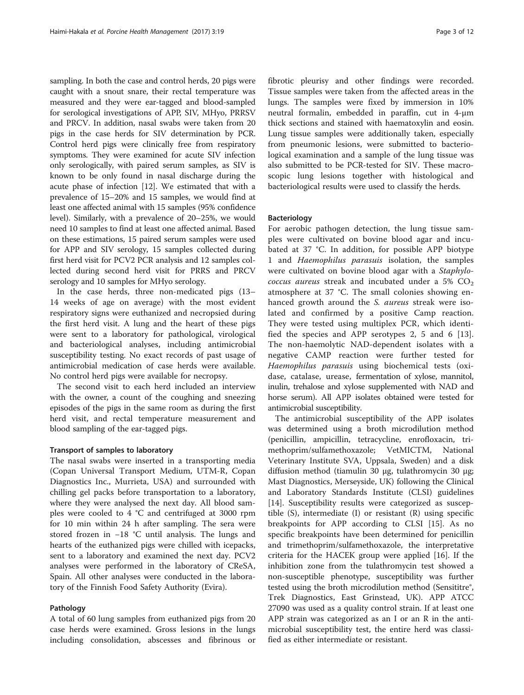sampling. In both the case and control herds, 20 pigs were caught with a snout snare, their rectal temperature was measured and they were ear-tagged and blood-sampled for serological investigations of APP, SIV, MHyo, PRRSV and PRCV. In addition, nasal swabs were taken from 20 pigs in the case herds for SIV determination by PCR. Control herd pigs were clinically free from respiratory symptoms. They were examined for acute SIV infection only serologically, with paired serum samples, as SIV is known to be only found in nasal discharge during the acute phase of infection [\[12\]](#page-10-0). We estimated that with a prevalence of 15–20% and 15 samples, we would find at least one affected animal with 15 samples (95% confidence level). Similarly, with a prevalence of 20–25%, we would need 10 samples to find at least one affected animal. Based on these estimations, 15 paired serum samples were used for APP and SIV serology, 15 samples collected during first herd visit for PCV2 PCR analysis and 12 samples collected during second herd visit for PRRS and PRCV serology and 10 samples for MHyo serology.

In the case herds, three non-medicated pigs (13– 14 weeks of age on average) with the most evident respiratory signs were euthanized and necropsied during the first herd visit. A lung and the heart of these pigs were sent to a laboratory for pathological, virological and bacteriological analyses, including antimicrobial susceptibility testing. No exact records of past usage of antimicrobial medication of case herds were available. No control herd pigs were available for necropsy.

The second visit to each herd included an interview with the owner, a count of the coughing and sneezing episodes of the pigs in the same room as during the first herd visit, and rectal temperature measurement and blood sampling of the ear-tagged pigs.

#### Transport of samples to laboratory

The nasal swabs were inserted in a transporting media (Copan Universal Transport Medium, UTM-R, Copan Diagnostics Inc., Murrieta, USA) and surrounded with chilling gel packs before transportation to a laboratory, where they were analysed the next day. All blood samples were cooled to 4 °C and centrifuged at 3000 rpm for 10 min within 24 h after sampling. The sera were stored frozen in −18 °C until analysis. The lungs and hearts of the euthanized pigs were chilled with icepacks, sent to a laboratory and examined the next day. PCV2 analyses were performed in the laboratory of CReSA, Spain. All other analyses were conducted in the laboratory of the Finnish Food Safety Authority (Evira).

#### Pathology

A total of 60 lung samples from euthanized pigs from 20 case herds were examined. Gross lesions in the lungs including consolidation, abscesses and fibrinous or

fibrotic pleurisy and other findings were recorded. Tissue samples were taken from the affected areas in the lungs. The samples were fixed by immersion in 10% neutral formalin, embedded in paraffin, cut in 4-μm thick sections and stained with haematoxylin and eosin. Lung tissue samples were additionally taken, especially from pneumonic lesions, were submitted to bacteriological examination and a sample of the lung tissue was also submitted to be PCR-tested for SIV. These macroscopic lung lesions together with histological and bacteriological results were used to classify the herds.

#### Bacteriology

For aerobic pathogen detection, the lung tissue samples were cultivated on bovine blood agar and incubated at 37 °C. In addition, for possible APP biotype 1 and Haemophilus parasuis isolation, the samples were cultivated on bovine blood agar with a Staphylo*coccus aureus* streak and incubated under a 5%  $CO<sub>2</sub>$ atmosphere at 37 °C. The small colonies showing enhanced growth around the S. aureus streak were isolated and confirmed by a positive Camp reaction. They were tested using multiplex PCR, which identified the species and APP serotypes 2, 5 and 6 [\[13](#page-10-0)]. The non-haemolytic NAD-dependent isolates with a negative CAMP reaction were further tested for Haemophilus parasuis using biochemical tests (oxidase, catalase, urease, fermentation of xylose, mannitol, inulin, trehalose and xylose supplemented with NAD and horse serum). All APP isolates obtained were tested for antimicrobial susceptibility.

The antimicrobial susceptibility of the APP isolates was determined using a broth microdilution method (penicillin, ampicillin, tetracycline, enrofloxacin, trimethoprim/sulfamethoxazole; VetMICTM, National Veterinary Institute SVA, Uppsala, Sweden) and a disk diffusion method (tiamulin 30 μg, tulathromycin 30 μg; Mast Diagnostics, Merseyside, UK) following the Clinical and Laboratory Standards Institute (CLSI) guidelines [[14\]](#page-10-0). Susceptibility results were categorized as susceptible (S), intermediate (I) or resistant (R) using specific breakpoints for APP according to CLSI [\[15\]](#page-10-0). As no specific breakpoints have been determined for penicillin and trimethoprim/sulfamethoxazole, the interpretative criteria for the HACEK group were applied [\[16](#page-10-0)]. If the inhibition zone from the tulathromycin test showed a non-susceptible phenotype, susceptibility was further tested using the broth microdilution method (Sensititre<sup>®</sup>, Trek Diagnostics, East Grinstead, UK). APP ATCC 27090 was used as a quality control strain. If at least one APP strain was categorized as an I or an R in the antimicrobial susceptibility test, the entire herd was classified as either intermediate or resistant.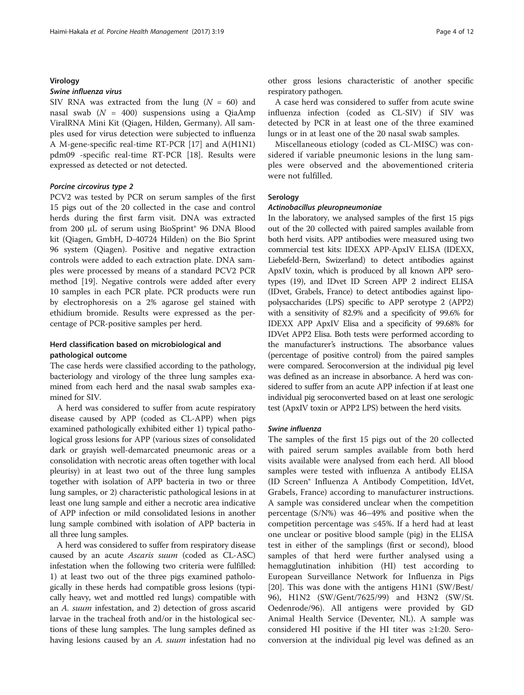#### Virology

#### Swine influenza virus

SIV RNA was extracted from the lung  $(N = 60)$  and nasal swab  $(N = 400)$  suspensions using a QiaAmp ViralRNA Mini Kit (Qiagen, Hilden, Germany). All samples used for virus detection were subjected to influenza A M-gene-specific real-time RT-PCR [\[17](#page-10-0)] and A(H1N1) pdm09 -specific real-time RT-PCR [[18](#page-10-0)]. Results were expressed as detected or not detected.

#### Porcine circovirus type 2

PCV2 was tested by PCR on serum samples of the first 15 pigs out of the 20 collected in the case and control herds during the first farm visit. DNA was extracted from 200 μL of serum using BioSprint® 96 DNA Blood kit (Qiagen, GmbH, D-40724 Hilden) on the Bio Sprint 96 system (Qiagen). Positive and negative extraction controls were added to each extraction plate. DNA samples were processed by means of a standard PCV2 PCR method [[19\]](#page-10-0). Negative controls were added after every 10 samples in each PCR plate. PCR products were run by electrophoresis on a 2% agarose gel stained with ethidium bromide. Results were expressed as the percentage of PCR-positive samples per herd.

#### Herd classification based on microbiological and pathological outcome

The case herds were classified according to the pathology, bacteriology and virology of the three lung samples examined from each herd and the nasal swab samples examined for SIV.

A herd was considered to suffer from acute respiratory disease caused by APP (coded as CL-APP) when pigs examined pathologically exhibited either 1) typical pathological gross lesions for APP (various sizes of consolidated dark or grayish well-demarcated pneumonic areas or a consolidation with necrotic areas often together with local pleurisy) in at least two out of the three lung samples together with isolation of APP bacteria in two or three lung samples, or 2) characteristic pathological lesions in at least one lung sample and either a necrotic area indicative of APP infection or mild consolidated lesions in another lung sample combined with isolation of APP bacteria in all three lung samples.

A herd was considered to suffer from respiratory disease caused by an acute Ascaris suum (coded as CL-ASC) infestation when the following two criteria were fulfilled: 1) at least two out of the three pigs examined pathologically in these herds had compatible gross lesions (typically heavy, wet and mottled red lungs) compatible with an A. suum infestation, and 2) detection of gross ascarid larvae in the tracheal froth and/or in the histological sections of these lung samples. The lung samples defined as having lesions caused by an A. suum infestation had no other gross lesions characteristic of another specific respiratory pathogen.

A case herd was considered to suffer from acute swine influenza infection (coded as CL-SIV) if SIV was detected by PCR in at least one of the three examined lungs or in at least one of the 20 nasal swab samples.

Miscellaneous etiology (coded as CL-MISC) was considered if variable pneumonic lesions in the lung samples were observed and the abovementioned criteria were not fulfilled.

#### Serology

#### Actinobacillus pleuropneumoniae

In the laboratory, we analysed samples of the first 15 pigs out of the 20 collected with paired samples available from both herd visits. APP antibodies were measured using two commercial test kits: IDEXX APP-ApxIV ELISA (IDEXX, Liebefeld-Bern, Swizerland) to detect antibodies against ApxIV toxin, which is produced by all known APP serotypes (19), and IDvet ID Screen APP 2 indirect ELISA (IDvet, Grabels, France) to detect antibodies against lipopolysaccharides (LPS) specific to APP serotype 2 (APP2) with a sensitivity of 82.9% and a specificity of 99.6% for IDEXX APP ApxIV Elisa and a specificity of 99.68% for IDVet APP2 Elisa. Both tests were performed according to the manufacturer's instructions. The absorbance values (percentage of positive control) from the paired samples were compared. Seroconversion at the individual pig level was defined as an increase in absorbance. A herd was considered to suffer from an acute APP infection if at least one individual pig seroconverted based on at least one serologic test (ApxIV toxin or APP2 LPS) between the herd visits.

#### Swine influenza

The samples of the first 15 pigs out of the 20 collected with paired serum samples available from both herd visits available were analysed from each herd. All blood samples were tested with influenza A antibody ELISA (ID Screen® Influenza A Antibody Competition, IdVet, Grabels, France) according to manufacturer instructions. A sample was considered unclear when the competition percentage (S/N%) was 46–49% and positive when the competition percentage was ≤45%. If a herd had at least one unclear or positive blood sample (pig) in the ELISA test in either of the samplings (first or second), blood samples of that herd were further analysed using a hemagglutination inhibition (HI) test according to European Surveillance Network for Influenza in Pigs [[20\]](#page-10-0). This was done with the antigens H1N1 (SW/Best/ 96), H1N2 (SW/Gent/7625/99) and H3N2 (SW/St. Oedenrode/96). All antigens were provided by GD Animal Health Service (Deventer, NL). A sample was considered HI positive if the HI titer was ≥1:20. Seroconversion at the individual pig level was defined as an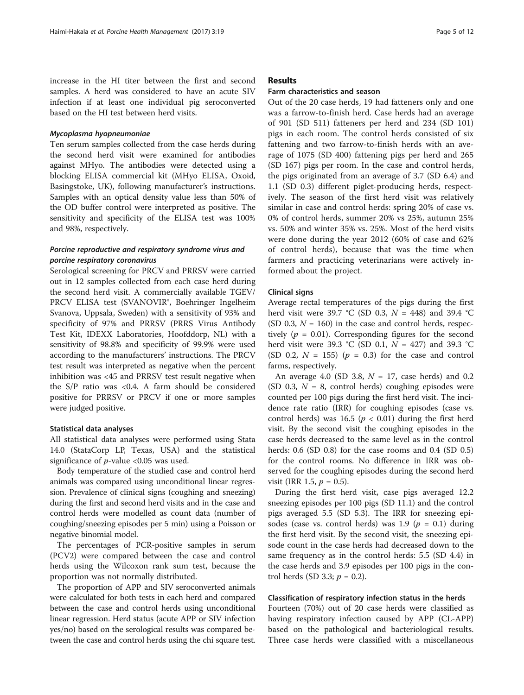increase in the HI titer between the first and second samples. A herd was considered to have an acute SIV infection if at least one individual pig seroconverted based on the HI test between herd visits.

#### Mycoplasma hyopneumoniae

Ten serum samples collected from the case herds during the second herd visit were examined for antibodies against MHyo. The antibodies were detected using a blocking ELISA commercial kit (MHyo ELISA, Oxoid, Basingstoke, UK), following manufacturer's instructions. Samples with an optical density value less than 50% of the OD buffer control were interpreted as positive. The sensitivity and specificity of the ELISA test was 100% and 98%, respectively.

#### Porcine reproductive and respiratory syndrome virus and porcine respiratory coronavirus

Serological screening for PRCV and PRRSV were carried out in 12 samples collected from each case herd during the second herd visit. A commercially available TGEV/ PRCV ELISA test (SVANOVIR®, Boehringer Ingelheim Svanova, Uppsala, Sweden) with a sensitivity of 93% and specificity of 97% and PRRSV (PRRS Virus Antibody Test Kit, IDEXX Laboratories, Hoofddorp, NL) with a sensitivity of 98.8% and specificity of 99.9% were used according to the manufacturers' instructions. The PRCV test result was interpreted as negative when the percent inhibition was <45 and PRRSV test result negative when the S/P ratio was <0.4. A farm should be considered positive for PRRSV or PRCV if one or more samples were judged positive.

#### Statistical data analyses

All statistical data analyses were performed using Stata 14.0 (StataCorp LP, Texas, USA) and the statistical significance of  $p$ -value <0.05 was used.

Body temperature of the studied case and control herd animals was compared using unconditional linear regression. Prevalence of clinical signs (coughing and sneezing) during the first and second herd visits and in the case and control herds were modelled as count data (number of coughing/sneezing episodes per 5 min) using a Poisson or negative binomial model.

The percentages of PCR-positive samples in serum (PCV2) were compared between the case and control herds using the Wilcoxon rank sum test, because the proportion was not normally distributed.

The proportion of APP and SIV seroconverted animals were calculated for both tests in each herd and compared between the case and control herds using unconditional linear regression. Herd status (acute APP or SIV infection yes/no) based on the serological results was compared between the case and control herds using the chi square test.

#### Results

#### Farm characteristics and season

Out of the 20 case herds, 19 had fatteners only and one was a farrow-to-finish herd. Case herds had an average of 901 (SD 511) fatteners per herd and 234 (SD 101) pigs in each room. The control herds consisted of six fattening and two farrow-to-finish herds with an average of 1075 (SD 400) fattening pigs per herd and 265 (SD 167) pigs per room. In the case and control herds, the pigs originated from an average of 3.7 (SD 6.4) and 1.1 (SD 0.3) different piglet-producing herds, respectively. The season of the first herd visit was relatively similar in case and control herds: spring 20% of case vs. 0% of control herds, summer 20% vs 25%, autumn 25% vs. 50% and winter 35% vs. 25%. Most of the herd visits were done during the year 2012 (60% of case and 62% of control herds), because that was the time when farmers and practicing veterinarians were actively informed about the project.

#### Clinical signs

Average rectal temperatures of the pigs during the first herd visit were 39.7 °C (SD 0.3,  $N = 448$ ) and 39.4 °C (SD 0.3,  $N = 160$ ) in the case and control herds, respectively ( $p = 0.01$ ). Corresponding figures for the second herd visit were 39.3 °C (SD 0.1,  $N = 427$ ) and 39.3 °C (SD 0.2,  $N = 155$ ) ( $p = 0.3$ ) for the case and control farms, respectively.

An average 4.0 (SD 3.8,  $N = 17$ , case herds) and 0.2 (SD 0.3,  $N = 8$ , control herds) coughing episodes were counted per 100 pigs during the first herd visit. The incidence rate ratio (IRR) for coughing episodes (case vs. control herds) was 16.5 ( $p < 0.01$ ) during the first herd visit. By the second visit the coughing episodes in the case herds decreased to the same level as in the control herds: 0.6 (SD 0.8) for the case rooms and 0.4 (SD 0.5) for the control rooms. No difference in IRR was observed for the coughing episodes during the second herd visit (IRR 1.5,  $p = 0.5$ ).

During the first herd visit, case pigs averaged 12.2 sneezing episodes per 100 pigs (SD 11.1) and the control pigs averaged 5.5 (SD 5.3). The IRR for sneezing episodes (case vs. control herds) was 1.9 ( $p = 0.1$ ) during the first herd visit. By the second visit, the sneezing episode count in the case herds had decreased down to the same frequency as in the control herds: 5.5 (SD 4.4) in the case herds and 3.9 episodes per 100 pigs in the control herds (SD 3.3;  $p = 0.2$ ).

#### Classification of respiratory infection status in the herds

Fourteen (70%) out of 20 case herds were classified as having respiratory infection caused by APP (CL-APP) based on the pathological and bacteriological results. Three case herds were classified with a miscellaneous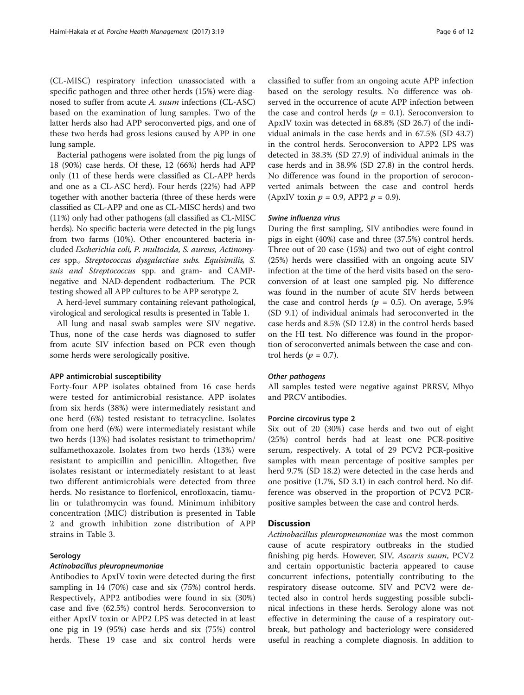(CL-MISC) respiratory infection unassociated with a specific pathogen and three other herds (15%) were diagnosed to suffer from acute A. suum infections (CL-ASC) based on the examination of lung samples. Two of the latter herds also had APP seroconverted pigs, and one of these two herds had gross lesions caused by APP in one lung sample.

Bacterial pathogens were isolated from the pig lungs of 18 (90%) case herds. Of these, 12 (66%) herds had APP only (11 of these herds were classified as CL-APP herds and one as a CL-ASC herd). Four herds (22%) had APP together with another bacteria (three of these herds were classified as CL-APP and one as CL-MISC herds) and two (11%) only had other pathogens (all classified as CL-MISC herds). No specific bacteria were detected in the pig lungs from two farms (10%). Other encountered bacteria included Escherichia coli, P. multocida, S. aureus, Actinomyces spp., Streptococcus dysgalactiae subs. Equisimilis, S. suis and Streptococcus spp. and gram- and CAMPnegative and NAD-dependent rodbacterium. The PCR testing showed all APP cultures to be APP serotype 2.

A herd-level summary containing relevant pathological, virological and serological results is presented in Table [1](#page-6-0).

All lung and nasal swab samples were SIV negative. Thus, none of the case herds was diagnosed to suffer from acute SIV infection based on PCR even though some herds were serologically positive.

#### APP antimicrobial susceptibility

Forty-four APP isolates obtained from 16 case herds were tested for antimicrobial resistance. APP isolates from six herds (38%) were intermediately resistant and one herd (6%) tested resistant to tetracycline. Isolates from one herd (6%) were intermediately resistant while two herds (13%) had isolates resistant to trimethoprim/ sulfamethoxazole. Isolates from two herds (13%) were resistant to ampicillin and penicillin. Altogether, five isolates resistant or intermediately resistant to at least two different antimicrobials were detected from three herds. No resistance to florfenicol, enrofloxacin, tiamulin or tulathromycin was found. Minimum inhibitory concentration (MIC) distribution is presented in Table [2](#page-7-0) and growth inhibition zone distribution of APP strains in Table [3.](#page-7-0)

#### Serology

#### Actinobacillus pleuropneumoniae

Antibodies to ApxIV toxin were detected during the first sampling in 14 (70%) case and six (75%) control herds. Respectively, APP2 antibodies were found in six (30%) case and five (62.5%) control herds. Seroconversion to either ApxIV toxin or APP2 LPS was detected in at least one pig in 19 (95%) case herds and six (75%) control herds. These 19 case and six control herds were

classified to suffer from an ongoing acute APP infection based on the serology results. No difference was observed in the occurrence of acute APP infection between the case and control herds ( $p = 0.1$ ). Seroconversion to ApxIV toxin was detected in 68.8% (SD 26.7) of the individual animals in the case herds and in 67.5% (SD 43.7) in the control herds. Seroconversion to APP2 LPS was detected in 38.3% (SD 27.9) of individual animals in the case herds and in 38.9% (SD 27.8) in the control herds. No difference was found in the proportion of seroconverted animals between the case and control herds (ApxIV toxin  $p = 0.9$ , APP2  $p = 0.9$ ).

#### Swine influenza virus

During the first sampling, SIV antibodies were found in pigs in eight (40%) case and three (37.5%) control herds. Three out of 20 case (15%) and two out of eight control (25%) herds were classified with an ongoing acute SIV infection at the time of the herd visits based on the seroconversion of at least one sampled pig. No difference was found in the number of acute SIV herds between the case and control herds ( $p = 0.5$ ). On average, 5.9% (SD 9.1) of individual animals had seroconverted in the case herds and 8.5% (SD 12.8) in the control herds based on the HI test. No difference was found in the proportion of seroconverted animals between the case and control herds ( $p = 0.7$ ).

#### Other pathogens

All samples tested were negative against PRRSV, Mhyo and PRCV antibodies.

#### Porcine circovirus type 2

Six out of 20 (30%) case herds and two out of eight (25%) control herds had at least one PCR-positive serum, respectively. A total of 29 PCV2 PCR-positive samples with mean percentage of positive samples per herd 9.7% (SD 18.2) were detected in the case herds and one positive (1.7%, SD 3.1) in each control herd. No difference was observed in the proportion of PCV2 PCRpositive samples between the case and control herds.

#### **Discussion**

Actinobacillus pleuropneumoniae was the most common cause of acute respiratory outbreaks in the studied finishing pig herds. However, SIV, Ascaris suum, PCV2 and certain opportunistic bacteria appeared to cause concurrent infections, potentially contributing to the respiratory disease outcome. SIV and PCV2 were detected also in control herds suggesting possible subclinical infections in these herds. Serology alone was not effective in determining the cause of a respiratory outbreak, but pathology and bacteriology were considered useful in reaching a complete diagnosis. In addition to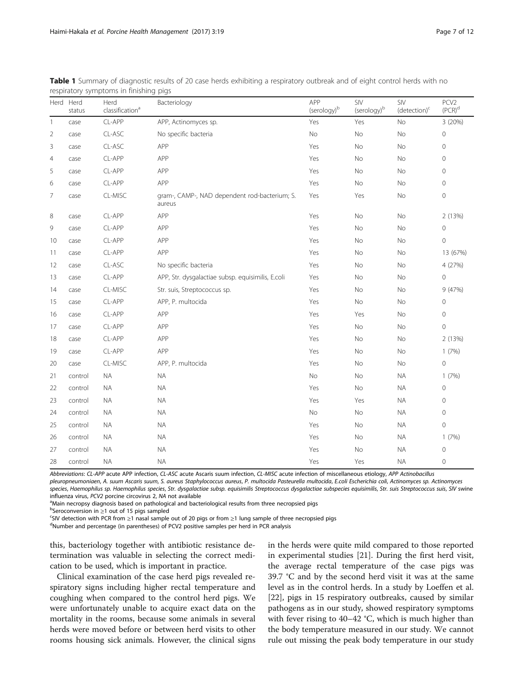|                | Herd Herd<br>Herd<br>classification <sup>a</sup><br>status |           | Bacteriology                                            | APP<br>(serology) <sup>b</sup> | SIV<br>(serology) <sup>b</sup> | SIV<br>(detection) <sup>c</sup> | PCV <sub>2</sub><br>$(PCR)^d$ |  |
|----------------|------------------------------------------------------------|-----------|---------------------------------------------------------|--------------------------------|--------------------------------|---------------------------------|-------------------------------|--|
| 1              | case                                                       | CL-APP    | APP, Actinomyces sp.                                    | Yes                            | Yes                            | <b>No</b>                       | 3 (20%)                       |  |
| $\overline{2}$ | case                                                       | $CL-ASC$  | No specific bacteria                                    | No                             | No                             | No                              | $\mathbf 0$                   |  |
| 3              | case                                                       | $CL-ASC$  | APP                                                     | Yes                            | No                             | No                              | $\mathbf 0$                   |  |
| $\overline{4}$ | case                                                       | CL-APP    | APP                                                     | Yes                            | No                             | No                              | $\mathbf 0$                   |  |
| 5              | case                                                       | CL-APP    | APP                                                     | Yes                            | No                             | No                              | 0                             |  |
| 6              | case                                                       | CL-APP    | APP                                                     | Yes                            | No                             | No                              | $\mathbf 0$                   |  |
| 7              | case                                                       | CL-MISC   | gram-, CAMP-, NAD dependent rod-bacterium; S.<br>aureus | Yes                            | Yes                            | No                              | $\mathbf 0$                   |  |
| 8              | case                                                       | CL-APP    | APP                                                     | Yes                            | No                             | No                              | 2 (13%)                       |  |
| 9              | case                                                       | CL-APP    | APP                                                     | Yes                            | No                             | No                              | $\mathbf 0$                   |  |
| 10             | case                                                       | CL-APP    | APP                                                     | Yes                            | No                             | No                              | $\mathsf{O}\xspace$           |  |
| 11             | case                                                       | CL-APP    | APP                                                     | Yes                            | No                             | No                              | 13 (67%)                      |  |
| 12             | case                                                       | CL-ASC    | No specific bacteria                                    | Yes                            | No                             | No                              | 4 (27%)                       |  |
| 13             | case                                                       | CL-APP    | APP, Str. dysgalactiae subsp. equisimilis, E.coli       | Yes                            | No                             | No                              | $\mathbf 0$                   |  |
| 14             | case                                                       | CL-MISC   | Str. suis, Streptococcus sp.                            | Yes                            | No                             | No                              | 9(47%)                        |  |
| 15             | case                                                       | CL-APP    | APP, P. multocida                                       | Yes                            | No                             | No                              | $\mathbf 0$                   |  |
| 16             | case                                                       | CL-APP    | APP                                                     | Yes                            | Yes                            | No                              | $\mathsf{O}\xspace$           |  |
| 17             | case                                                       | CL-APP    | APP                                                     | Yes                            | No                             | No                              | $\mathbf 0$                   |  |
| 18             | case                                                       | CL-APP    | APP                                                     | Yes                            | No                             | No                              | 2 (13%)                       |  |
| 19             | case                                                       | CL-APP    | APP                                                     | Yes                            | No                             | No                              | 1(7%)                         |  |
| 20             | case                                                       | CL-MISC   | APP, P. multocida                                       | Yes                            | No                             | No                              | $\mathsf{O}\xspace$           |  |
| 21             | control                                                    | <b>NA</b> | <b>NA</b>                                               | No                             | No                             | <b>NA</b>                       | 1(7%)                         |  |
| 22             | control                                                    | <b>NA</b> | <b>NA</b>                                               | Yes                            | <b>No</b>                      | <b>NA</b>                       | $\mathbf 0$                   |  |
| 23             | control                                                    | <b>NA</b> | <b>NA</b>                                               | Yes                            | Yes                            | <b>NA</b>                       | $\mathbb O$                   |  |
| 24             | control                                                    | <b>NA</b> | <b>NA</b>                                               | No                             | No                             | <b>NA</b>                       | $\mathsf{O}\xspace$           |  |
| 25             | control                                                    | <b>NA</b> | <b>NA</b>                                               | Yes                            | No                             | <b>NA</b>                       | $\mathbf 0$                   |  |
| 26             | control                                                    | <b>NA</b> | <b>NA</b>                                               | Yes                            | No                             | <b>NA</b>                       | 1(7%)                         |  |
| 27             | control                                                    | <b>NA</b> | <b>NA</b>                                               | Yes                            | No                             | <b>NA</b>                       | $\mathbf 0$                   |  |
| 28             | control                                                    | <b>NA</b> | <b>NA</b>                                               | Yes                            | Yes                            | <b>NA</b>                       | $\mathbf 0$                   |  |

<span id="page-6-0"></span>Table 1 Summary of diagnostic results of 20 case herds exhibiting a respiratory outbreak and of eight control herds with no respiratory symptoms in finishing pigs

Abbreviations: CL-APP acute APP infection, CL-ASC acute Ascaris suum infection, CL-MISC acute infection of miscellaneous etiology, APP Actinobacillus

pleuropneumoniaen, A. suum Ascaris suum, S. aureus Staphylococcus aureus, P. multocida Pasteurella multocida, E.coli Escherichia coli, Actinomyces sp. Actinomyces

species, Haemophilus sp. Haemophilus species, Str. dysgalactiae subsp. equisimilis Streptococcus dysgalactiae subspecies equisimilis, Str. suis Streptococcus suis, SIV swine influenza virus, PCV2 porcine circovirus 2, NA not available

<sup>a</sup>Main necropsy diagnosis based on pathological and bacteriological results from three necropsied pigs

**bSeroconversion in ≥1 out of 15 pigs sampled**<br>SSIV detection with PCP from >1 pasal sample

SIV detection with PCR from <sup>≥</sup>1 nasal sample out of 20 pigs or from <sup>≥</sup>1 lung sample of three necropsied pigs <sup>d</sup>

<sup>d</sup>Number and percentage (in parentheses) of PCV2 positive samples per herd in PCR analysis

this, bacteriology together with antibiotic resistance determination was valuable in selecting the correct medication to be used, which is important in practice.

Clinical examination of the case herd pigs revealed respiratory signs including higher rectal temperature and coughing when compared to the control herd pigs. We were unfortunately unable to acquire exact data on the mortality in the rooms, because some animals in several herds were moved before or between herd visits to other rooms housing sick animals. However, the clinical signs in the herds were quite mild compared to those reported in experimental studies [[21\]](#page-10-0). During the first herd visit, the average rectal temperature of the case pigs was 39.7 °C and by the second herd visit it was at the same level as in the control herds. In a study by Loeffen et al. [[22\]](#page-10-0), pigs in 15 respiratory outbreaks, caused by similar pathogens as in our study, showed respiratory symptoms with fever rising to 40–42 °C, which is much higher than the body temperature measured in our study. We cannot rule out missing the peak body temperature in our study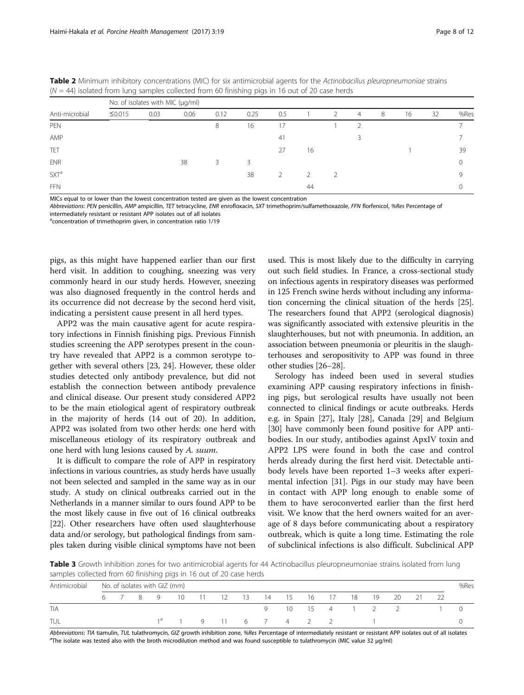|                  | No. of isolates with MIC (µg/ml) |      |      |      |      |     |    |               |               |   |    |    |      |  |  |
|------------------|----------------------------------|------|------|------|------|-----|----|---------------|---------------|---|----|----|------|--|--|
| Anti-microbial   | ≤0.015                           | 0.03 | 0.06 | 0.12 | 0.25 | 0.5 |    | $\mathcal{P}$ | 4             | 8 | 16 | 32 | %Res |  |  |
| <b>PFN</b>       |                                  |      |      | 8    | 16   | 17  |    |               | $\mathcal{P}$ |   |    |    |      |  |  |
| AMP              |                                  |      |      |      |      | 41  |    |               |               |   |    |    |      |  |  |
| TET              |                                  |      |      |      |      | 27  | 16 |               |               |   |    |    | 39   |  |  |
| <b>ENR</b>       |                                  |      | 38   | 3    |      |     |    |               |               |   |    |    |      |  |  |
| SXT <sup>a</sup> |                                  |      |      |      | 38   |     |    |               |               |   |    |    |      |  |  |
| <b>FFN</b>       |                                  |      |      |      |      |     | 44 |               |               |   |    |    |      |  |  |

<span id="page-7-0"></span>**Table 2** Minimum inhibitory concentrations (MIC) for six antimicrobial agents for the Actinobacillus pleuropneumoniae strains  $(N = 44)$  isolated from lung samples collected from 60 finishing piec in 16 out of 20 case bord  $\sim$  14  $\sigma$  from 60 finishing

MICs equal to or lower than the lowest concentration tested are given as the lowest concentration

Abbreviations: PEN penicillin, AMP ampicillin, TET tetracycline, ENR enrofloxacin, SXT trimethoprim/sulfamethoxazole, FFN florfenicol, %Res Percentage of intermediately resistant or resistant APP isolates out of all isolates

<sup>a</sup>concentration of trimethoprim given, in concentration ratio 1/19

pigs, as this might have happened earlier than our first herd visit. In addition to coughing, sneezing was very commonly heard in our study herds. However, sneezing was also diagnosed frequently in the control herds and its occurrence did not decrease by the second herd visit, indicating a persistent cause present in all herd types.

APP2 was the main causative agent for acute respiratory infections in Finnish finishing pigs. Previous Finnish studies screening the APP serotypes present in the country have revealed that APP2 is a common serotype together with several others [[23, 24](#page-10-0)]. However, these older studies detected only antibody prevalence, but did not establish the connection between antibody prevalence and clinical disease. Our present study considered APP2 to be the main etiological agent of respiratory outbreak in the majority of herds (14 out of 20). In addition, APP2 was isolated from two other herds: one herd with miscellaneous etiology of its respiratory outbreak and one herd with lung lesions caused by A. suum.

It is difficult to compare the role of APP in respiratory infections in various countries, as study herds have usually not been selected and sampled in the same way as in our study. A study on clinical outbreaks carried out in the Netherlands in a manner similar to ours found APP to be the most likely cause in five out of 16 clinical outbreaks [[22](#page-10-0)]. Other researchers have often used slaughterhouse data and/or serology, but pathological findings from samples taken during visible clinical symptoms have not been used. This is most likely due to the difficulty in carrying out such field studies. In France, a cross-sectional study on infectious agents in respiratory diseases was performed in 125 French swine herds without including any information concerning the clinical situation of the herds [[25](#page-10-0)]. The researchers found that APP2 (serological diagnosis) was significantly associated with extensive pleuritis in the slaughterhouses, but not with pneumonia. In addition, an association between pneumonia or pleuritis in the slaughterhouses and seropositivity to APP was found in three other studies [[26](#page-10-0)–[28](#page-10-0)].

Serology has indeed been used in several studies examining APP causing respiratory infections in finishing pigs, but serological results have usually not been connected to clinical findings or acute outbreaks. Herds e.g. in Spain [\[27](#page-10-0)], Italy [\[28](#page-10-0)], Canada [[29\]](#page-10-0) and Belgium [[30\]](#page-11-0) have commonly been found positive for APP antibodies. In our study, antibodies against ApxIV toxin and APP2 LPS were found in both the case and control herds already during the first herd visit. Detectable antibody levels have been reported 1–3 weeks after experimental infection [[31\]](#page-11-0). Pigs in our study may have been in contact with APP long enough to enable some of them to have seroconverted earlier than the first herd visit. We know that the herd owners waited for an average of 8 days before communicating about a respiratory outbreak, which is quite a long time. Estimating the role of subclinical infections is also difficult. Subclinical APP

Table 3 Growth inhibition zones for two antimicrobial agents for 44 Actinobacillus pleuropneumoniae strains isolated from lung samples collected from 60 finishing pigs in 16 out of 20 case herds

| Antimicrobial | No. of isolates with GIZ (mm) |  |  |  |                                                |  |  |  |  |                 | %Res |  |  |  |
|---------------|-------------------------------|--|--|--|------------------------------------------------|--|--|--|--|-----------------|------|--|--|--|
|               |                               |  |  |  | 6 7 8 9 10 11 12 13 14 15 16 17 18 19 20 21 22 |  |  |  |  |                 |      |  |  |  |
| <b>TIA</b>    |                               |  |  |  |                                                |  |  |  |  | 9 10 15 4 1 2 2 |      |  |  |  |
| TUL           |                               |  |  |  | $1^a$ 1 9 11 6 7 4 2 2 1                       |  |  |  |  |                 |      |  |  |  |

Abbreviations: TIA tiamulin, TUL tulathromycin, GIZ growth inhibition zone, %Res Percentage of intermediately resistant or resistant APP isolates out of all isolates The isolate was tested also with the broth microdilution method and was found susceptible to tulathromycin (MIC value 32 μg/ml)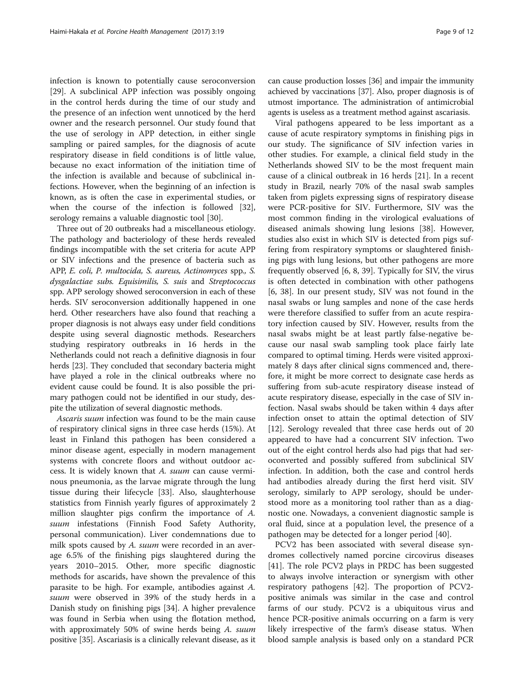infection is known to potentially cause seroconversion [[29\]](#page-10-0). A subclinical APP infection was possibly ongoing in the control herds during the time of our study and the presence of an infection went unnoticed by the herd owner and the research personnel. Our study found that the use of serology in APP detection, in either single sampling or paired samples, for the diagnosis of acute respiratory disease in field conditions is of little value, because no exact information of the initiation time of the infection is available and because of subclinical infections. However, when the beginning of an infection is known, as is often the case in experimental studies, or when the course of the infection is followed [\[32](#page-11-0)], serology remains a valuable diagnostic tool [\[30](#page-11-0)].

Three out of 20 outbreaks had a miscellaneous etiology. The pathology and bacteriology of these herds revealed findings incompatible with the set criteria for acute APP or SIV infections and the presence of bacteria such as APP, E. coli, P. multocida, S. aureus, Actinomyces spp., S. dysgalactiae subs. Equisimilis, S. suis and Streptococcus spp. APP serology showed seroconversion in each of these herds. SIV seroconversion additionally happened in one herd. Other researchers have also found that reaching a proper diagnosis is not always easy under field conditions despite using several diagnostic methods. Researchers studying respiratory outbreaks in 16 herds in the Netherlands could not reach a definitive diagnosis in four herds [[23](#page-10-0)]. They concluded that secondary bacteria might have played a role in the clinical outbreaks where no evident cause could be found. It is also possible the primary pathogen could not be identified in our study, despite the utilization of several diagnostic methods.

Ascaris suum infection was found to be the main cause of respiratory clinical signs in three case herds (15%). At least in Finland this pathogen has been considered a minor disease agent, especially in modern management systems with concrete floors and without outdoor access. It is widely known that A. suum can cause verminous pneumonia, as the larvae migrate through the lung tissue during their lifecycle [[33\]](#page-11-0). Also, slaughterhouse statistics from Finnish yearly figures of approximately 2 million slaughter pigs confirm the importance of A. suum infestations (Finnish Food Safety Authority, personal communication). Liver condemnations due to milk spots caused by A. suum were recorded in an average 6.5% of the finishing pigs slaughtered during the years 2010–2015. Other, more specific diagnostic methods for ascarids, have shown the prevalence of this parasite to be high. For example, antibodies against A. suum were observed in 39% of the study herds in a Danish study on finishing pigs [\[34\]](#page-11-0). A higher prevalence was found in Serbia when using the flotation method, with approximately 50% of swine herds being A. suum positive [\[35\]](#page-11-0). Ascariasis is a clinically relevant disease, as it

can cause production losses [\[36\]](#page-11-0) and impair the immunity achieved by vaccinations [\[37\]](#page-11-0). Also, proper diagnosis is of utmost importance. The administration of antimicrobial agents is useless as a treatment method against ascariasis.

Viral pathogens appeared to be less important as a cause of acute respiratory symptoms in finishing pigs in our study. The significance of SIV infection varies in other studies. For example, a clinical field study in the Netherlands showed SIV to be the most frequent main cause of a clinical outbreak in 16 herds [[21](#page-10-0)]. In a recent study in Brazil, nearly 70% of the nasal swab samples taken from piglets expressing signs of respiratory disease were PCR-positive for SIV. Furthermore, SIV was the most common finding in the virological evaluations of diseased animals showing lung lesions [[38\]](#page-11-0). However, studies also exist in which SIV is detected from pigs suffering from respiratory symptoms or slaughtered finishing pigs with lung lesions, but other pathogens are more frequently observed [[6](#page-10-0), [8](#page-10-0), [39](#page-11-0)]. Typically for SIV, the virus is often detected in combination with other pathogens [[6,](#page-10-0) [38\]](#page-11-0). In our present study, SIV was not found in the nasal swabs or lung samples and none of the case herds were therefore classified to suffer from an acute respiratory infection caused by SIV. However, results from the nasal swabs might be at least partly false-negative because our nasal swab sampling took place fairly late compared to optimal timing. Herds were visited approximately 8 days after clinical signs commenced and, therefore, it might be more correct to designate case herds as suffering from sub-acute respiratory disease instead of acute respiratory disease, especially in the case of SIV infection. Nasal swabs should be taken within 4 days after infection onset to attain the optimal detection of SIV [[12\]](#page-10-0). Serology revealed that three case herds out of 20 appeared to have had a concurrent SIV infection. Two out of the eight control herds also had pigs that had seroconverted and possibly suffered from subclinical SIV infection. In addition, both the case and control herds had antibodies already during the first herd visit. SIV serology, similarly to APP serology, should be understood more as a monitoring tool rather than as a diagnostic one. Nowadays, a convenient diagnostic sample is oral fluid, since at a population level, the presence of a pathogen may be detected for a longer period [\[40](#page-11-0)].

PCV2 has been associated with several disease syndromes collectively named porcine circovirus diseases [[41\]](#page-11-0). The role PCV2 plays in PRDC has been suggested to always involve interaction or synergism with other respiratory pathogens [[42\]](#page-11-0). The proportion of PCV2 positive animals was similar in the case and control farms of our study. PCV2 is a ubiquitous virus and hence PCR-positive animals occurring on a farm is very likely irrespective of the farm's disease status. When blood sample analysis is based only on a standard PCR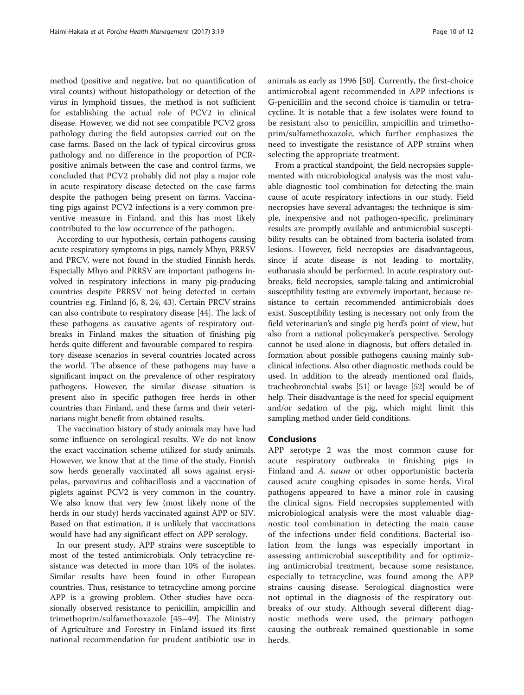method (positive and negative, but no quantification of viral counts) without histopathology or detection of the virus in lymphoid tissues, the method is not sufficient for establishing the actual role of PCV2 in clinical disease. However, we did not see compatible PCV2 gross pathology during the field autopsies carried out on the case farms. Based on the lack of typical circovirus gross pathology and no difference in the proportion of PCRpositive animals between the case and control farms, we concluded that PCV2 probably did not play a major role in acute respiratory disease detected on the case farms despite the pathogen being present on farms. Vaccinating pigs against PCV2 infections is a very common preventive measure in Finland, and this has most likely contributed to the low occurrence of the pathogen.

According to our hypothesis, certain pathogens causing acute respiratory symptoms in pigs, namely Mhyo, PRRSV and PRCV, were not found in the studied Finnish herds. Especially Mhyo and PRRSV are important pathogens involved in respiratory infections in many pig-producing countries despite PRRSV not being detected in certain countries e.g. Finland [\[6, 8](#page-10-0), [24](#page-10-0), [43](#page-11-0)]. Certain PRCV strains can also contribute to respiratory disease [\[44\]](#page-11-0). The lack of these pathogens as causative agents of respiratory outbreaks in Finland makes the situation of finishing pig herds quite different and favourable compared to respiratory disease scenarios in several countries located across the world. The absence of these pathogens may have a significant impact on the prevalence of other respiratory pathogens. However, the similar disease situation is present also in specific pathogen free herds in other countries than Finland, and these farms and their veterinarians might benefit from obtained results.

The vaccination history of study animals may have had some influence on serological results. We do not know the exact vaccination scheme utilized for study animals. However, we know that at the time of the study, Finnish sow herds generally vaccinated all sows against erysipelas, parvovirus and colibacillosis and a vaccination of piglets against PCV2 is very common in the country. We also know that very few (most likely none of the herds in our study) herds vaccinated against APP or SIV. Based on that estimation, it is unlikely that vaccinations would have had any significant effect on APP serology.

In our present study, APP strains were susceptible to most of the tested antimicrobials. Only tetracycline resistance was detected in more than 10% of the isolates. Similar results have been found in other European countries. Thus, resistance to tetracycline among porcine APP is a growing problem. Other studies have occasionally observed resistance to penicillin, ampicillin and trimethoprim/sulfamethoxazole [\[45](#page-11-0)–[49](#page-11-0)]. The Ministry of Agriculture and Forestry in Finland issued its first national recommendation for prudent antibiotic use in animals as early as 1996 [[50\]](#page-11-0). Currently, the first-choice antimicrobial agent recommended in APP infections is G-penicillin and the second choice is tiamulin or tetracycline. It is notable that a few isolates were found to be resistant also to penicillin, ampicillin and trimethoprim/sulfamethoxazole, which further emphasizes the need to investigate the resistance of APP strains when selecting the appropriate treatment.

From a practical standpoint, the field necropsies supplemented with microbiological analysis was the most valuable diagnostic tool combination for detecting the main cause of acute respiratory infections in our study. Field necropsies have several advantages: the technique is simple, inexpensive and not pathogen-specific, preliminary results are promptly available and antimicrobial susceptibility results can be obtained from bacteria isolated from lesions. However, field necropsies are disadvantageous, since if acute disease is not leading to mortality, euthanasia should be performed. In acute respiratory outbreaks, field necropsies, sample-taking and antimicrobial susceptibility testing are extremely important, because resistance to certain recommended antimicrobials does exist. Susceptibility testing is necessary not only from the field veterinarian's and single pig herd's point of view, but also from a national policymaker's perspective. Serology cannot be used alone in diagnosis, but offers detailed information about possible pathogens causing mainly subclinical infections. Also other diagnostic methods could be used. In addition to the already mentioned oral fluids, tracheobronchial swabs [\[51\]](#page-11-0) or lavage [\[52\]](#page-11-0) would be of help. Their disadvantage is the need for special equipment and/or sedation of the pig, which might limit this sampling method under field conditions.

#### Conclusions

APP serotype 2 was the most common cause for acute respiratory outbreaks in finishing pigs in Finland and A. suum or other opportunistic bacteria caused acute coughing episodes in some herds. Viral pathogens appeared to have a minor role in causing the clinical signs. Field necropsies supplemented with microbiological analysis were the most valuable diagnostic tool combination in detecting the main cause of the infections under field conditions. Bacterial isolation from the lungs was especially important in assessing antimicrobial susceptibility and for optimizing antimicrobial treatment, because some resistance, especially to tetracycline, was found among the APP strains causing disease. Serological diagnostics were not optimal in the diagnosis of the respiratory outbreaks of our study. Although several different diagnostic methods were used, the primary pathogen causing the outbreak remained questionable in some herds.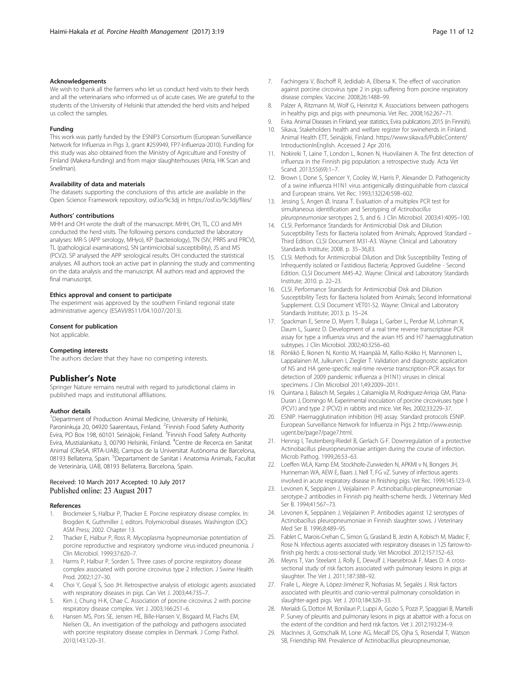#### <span id="page-10-0"></span>Acknowledgements

We wish to thank all the farmers who let us conduct herd visits to their herds and all the veterinarians who informed us of acute cases. We are grateful to the students of the University of Helsinki that attended the herd visits and helped us collect the samples.

#### Funding

This work was partly funded by the ESNIP3 Consortium (European Surveillance Network for Influenza in Pigs 3, grant #259949, FP7-Influenza-2010). Funding for this study was also obtained from the Ministry of Agriculture and Forestry of Finland (Makera-funding) and from major slaughterhouses (Atria, HK Scan and Snellman).

#### Availability of data and materials

The datasets supporting the conclusions of this article are available in the Open Science Framework repository, osf.io/9c3dj in [https://osf.io/9c3dj/files/](https://osf.io/9c3dj/files)

#### Authors' contributions

MHH and OH wrote the draft of the manuscript. MHH, OH, TL, CO and MH conducted the herd visits. The following persons conducted the laboratory analyses: MR-S (APP serology, MHyo), KP (bacteriology), TN (SIV, PRRS and PRCV), TL (pathological examinations), SN (antimicrobial susceptibility), JS and MS (PCV2). SP analysed the APP serological results. OH conducted the statistical analyses. All authors took an active part in planning the study and commenting on the data analysis and the manuscript. All authors read and approved the final manuscript.

#### Ethics approval and consent to participate

The experiment was approved by the southern Finland regional state administrative agency (ESAVI/8511/04.10.07/2013).

#### Consent for publication

Not applicable.

#### Competing interests

The authors declare that they have no competing interests.

#### Publisher's Note

Springer Nature remains neutral with regard to jurisdictional claims in published maps and institutional affiliations.

#### Author details

<sup>1</sup>Department of Production Animal Medicine, University of Helsinki, Paroninkuja 20, 04920 Saarentaus, Finland. <sup>2</sup> Finnish Food Safety Authority Evira, PO Box 198, 60101 Seinäjoki, Finland. <sup>3</sup>Finnish Food Safety Authority Evira, Mustialankatu 3, 00790 Helsinki, Finland. <sup>4</sup>Centre de Recerca en Sanitat Animal (CReSA, IRTA-UAB), Campus de la Universitat Autònoma de Barcelona, 08193 Bellaterra, Spain. <sup>5</sup>Departament de Sanitat i Anatomia Animals, Facultat de Veterinària, UAB, 08193 Bellaterra, Barcelona, Spain.

#### Received: 10 March 2017 Accepted: 10 July 2017 Published online: 23 August 2017

#### References

- Brockmeier S, Halbur P, Thacker E. Porcine respiratory disease complex. In: Brogden K, Guthmiller J, editors. Polymicrobial diseases. Washington (DC): ASM Press; 2002. Chapter 13.
- 2. Thacker E, Halbur P, Ross R. Mycoplasma hyopneumoniae potentiation of porcine reproductive and respiratory syndrome virus-induced pneumonia. J Clin Microbiol. 1999;37:620–7.
- 3. Harms P, Halbur P, Sorden S. Three cases of porcine respiratory disease complex associated with porcine circovirus type 2 infection. J Swine Health Prod. 2002;1:27–30.
- 4. Choi Y, Goyal S, Soo JH. Retrospective analysis of etiologic agents associated with respiratory diseases in pigs. Can Vet J. 2003;44:735–7.
- 5. Kim J, Chung H-K, Chae C. Association of porcine circovirus 2 with porcine respiratory disease complex. Vet J. 2003;166:251–6.
- 6. Hansen MS, Pors SE, Jensen HE, Bille-Hansen V, Bisgaard M, Flachs EM, Nielsen OL. An investigation of the pathology and pathogens associated with porcine respiratory disease complex in Denmark. J Comp Pathol. 2010;143:120–31.
- 7. Fachingera V, Bischoff R, Jedidiab A, Elbersa K. The effect of vaccination against porcine circovirus type 2 in pigs suffering from porcine respiratory disease complex. Vaccine. 2008;26:1488–99.
- 8. Palzer A, Ritzmann M, Wolf G, Heinritzi K. Associations between pathogens in healthy pigs and pigs with pneumonia. Vet Rec. 2008;162:267–71.
- 9. Evira. Animal Diseases in Finland, year statistics, Evira publications 2015 (in Finnish). 10. Sikava, Stakeholders health and welfare register for swineherds in Finland. Animal Health ETT, Seinäjoki, Finland. [https://www.sikava.fi/PublicContent/](https://www.sikava.fi/PublicContent/IntroductionInEnglish)
- [IntroductionInEnglish](https://www.sikava.fi/PublicContent/IntroductionInEnglish). Accessed 2 Apr 2016. 11. Nokireki T, Laine T, London L, Ikonen N, Huovilainen A. The first detection of influenza in the Finnish pig population: a retrospective study. Acta Vet Scand. 2013;55(69):1–7.
- 12. Brown I, Done S, Spencer Y, Cooley W, Harris P, Alexander D. Pathogenicity of a swine influenza H1N1 virus antigenically distinguishable from classical and European strains. Vet Rec. 1993;132(24):598–602.
- 13. Jessing S, Angen Ø, Inzana T. Evaluation of a multiplex PCR test for simultaneous identification and Serotyping of Actinobacillus pleuropneumoniae serotypes 2, 5, and 6. J Clin Microbiol. 2003;41:4095–100.
- 14. CLSI. Performance Standards for Antimicrobial Disk and Dilution Susceptibility Tests for Bacteria isolated from Animals; Approved Standard – Third Edition. CLSI Document M31-A3. Wayne: Clinical and Laboratory Standards Institute; 2008. p. 35–36,83.
- 15. CLSI. Methods for Antimicrobial Dilution and Disk Susceptibility Testing of Infrequently isolated or Fastidious Bacteria; Approved Guideline - Second Edition. CLSI Document M45-A2. Wayne: Clinical and Laboratory Standards Institute; 2010. p. 22–23.
- 16. CLSI. Performance Standards for Antimicrobial Disk and Dilution Susceptibility Tests for Bacteria Isolated from Animals; Second Informational Supplement. CLSI Document VET01-S2. Wayne: Clinical and Laboratory Standards Institute; 2013. p. 15–24.
- 17. Spackman E, Senne D, Myers T, Bulaga L, Garber L, Perdue M, Lohman K, Daum L, Suarez D. Development of a real time reverse transcriptase PCR assay for type a influenza virus and the avian H5 and H7 haemagglutination subtypes. J Clin Microbiol. 2002;40:3256–60.
- 18. Rönkkö E, Ikonen N, Kontio M, Haanpää M, Kallio-Kokko H, Mannonen L, Lappalainen M, Julkunen I, Ziegler T. Validation and diagnostic application of NS and HA gene-specific real-time reverse transcription-PCR assays for detection of 2009 pandemic influenza a (H1N1) viruses in clinical specimens. J Clin Microbiol 2011;49:2009–2011.
- 19. Quintana J, Balasch M, Segales J, Calsamiglia M, Rodriguez-Arrioja GM, Plana-Duran J, Domingo M. Experimental inoculation of porcine circoviruses type 1 (PCV1) and type 2 (PCV2) in rabbits and mice. Vet Res. 2002;33:229–37.
- 20. ESNIP. Haemagglutination inhibition (HI) assay. Standard protocols ESNIP. European Surveillance Network for Influenza in Pigs 2 [http://www.esnip.](http://www.esnip.ugent.be/page7/page7.html) [ugent.be/page7/page7.html.](http://www.esnip.ugent.be/page7/page7.html)
- 21. Hennig I, Teutenberg-Riedel B, Gerlach G-F. Downregulation of a protective Actinobacillus pleuropneumoniae antigen during the course of infection. Microb Pathog. 1999;26:53–63.
- 22. Loeffen WLA, Kamp EM, Stockhofe-Zurwieden N, APKMI v N, Bongers JH, Hunneman WA, AEW E, Baars J, Nell T, FG vZ. Survey of infectious agents involved in acute respiratory disease in finishing pigs. Vet Rec. 1999;145:123–9.
- 23. Levonen K, Seppänen J, Veijalainen P. Actinobacillus-pleuropneumoniae serotype-2 antibodies in Finnish pig health-scheme herds. J Veterinary Med Ser B. 1994;41:567–73.
- 24. Levonen K, Seppänen J, Veijalainen P. Antibodies against 12 serotypes of Actinobacillus pleuropneumoniae in Finnish slaughter sows. J Veterinary Med Ser B. 1996;8:489–95.
- 25. Fablet C, Marois-Crehan C, Simon G, Grasland B, Jestin A, Kobisch M, Madec F, Rose N. Infectious agents associated with respiratory diseases in 125 farrow-tofinish pig herds: a cross-sectional study. Vet Microbiol. 2012;157:152–63.
- 26. Meyns T, Van Steelant J, Rolly E, Dewulf J, Haesebrouk F, Maes D. A crosssectional study of risk factors associated with pulmonary lesions in pigs at slaughter. The Vet J. 2011;187:388–92.
- 27. Fraile L, Alegre A, López-Jiménez R, Nofrasias M, Segalés J. Risk factors associated with pleuritis and cranio-ventral pulmonary consolidation in slaughter-aged pigs. Vet J. 2010;184:326–33.
- 28. Merialdi G, Dottori M, Bonilauri P, Luppi A, Gozio S, Pozzi P, Spaggiari B, Martelli P. Survey of pleuritis and pulmonary lesions in pigs at abattoir with a focus on the extent of the condition and herd risk factors. Vet J. 2012;193:234–9.
- 29. MacInnes JI, Gottschalk M, Lone AG, Mecalf DS, Ojha S, Rosendal T, Watson SB, Friendship RM. Prevalence of Actinobacillus pleuropneumoniae,